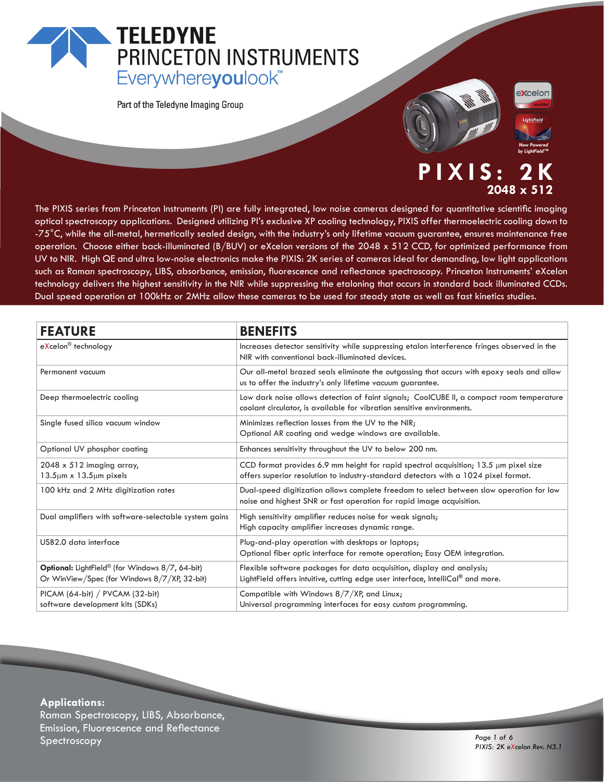## **TELEDYNE** PRINCETON INSTRUMENTS Everywhereyoulook<sup>"</sup>

Part of the Teledyne Imaging Group





*by LightField™*

### **PIXIS: 2K 2048 x 512**

The PIXIS series from Princeton Instruments (PI) are fully integrated, low noise cameras designed for quantitative scientific imaging optical spectroscopy applications. Designed utilizing PI's exclusive XP cooling technology, PIXIS offer thermoelectric cooling down to -75°C, while the all-metal, hermetically sealed design, with the industry's only lifetime vacuum guarantee, ensures maintenance free operation. Choose either back-illuminated (B/BUV) or eXcelon versions of the 2048 x 512 CCD, for optimized performance from UV to NIR. High QE and ultra low-noise electronics make the PIXIS: 2K series of cameras ideal for demanding, low light applications such as Raman spectroscopy, LIBS, absorbance, emission, fluorescence and reflectance spectroscopy. Princeton Instruments' eXcelon technology delivers the highest sensitivity in the NIR while suppressing the etaloning that occurs in standard back illuminated CCDs. Dual speed operation at 100kHz or 2MHz allow these cameras to be used for steady state as well as fast kinetics studies.

| <b>FEATURE</b>                                                                                                     | <b>BENEFITS</b>                                                                                                                                                                  |
|--------------------------------------------------------------------------------------------------------------------|----------------------------------------------------------------------------------------------------------------------------------------------------------------------------------|
| eXcelon <sup>®</sup> technology                                                                                    | Increases detector sensitivity while suppressing etalon interference fringes observed in the<br>NIR with conventional back-illuminated devices.                                  |
| Permanent vacuum                                                                                                   | Our all-metal brazed seals eliminate the outgassing that occurs with epoxy seals and allow<br>us to offer the industry's only lifetime vacuum quarantee.                         |
| Deep thermoelectric cooling                                                                                        | Low dark noise allows detection of faint signals; CoolCUBE II, a compact room temperature<br>coolant circulator, is available for vibration sensitive environments.              |
| Single fused silica vacuum window                                                                                  | Minimizes reflection losses from the UV to the NIR;<br>Optional AR coating and wedge windows are available.                                                                      |
| Optional UV phosphor coating                                                                                       | Enhances sensitivity throughout the UV to below 200 nm.                                                                                                                          |
| $2048 \times 512$ imaging array,<br>$13.5 \mu m \times 13.5 \mu m$ pixels                                          | CCD format provides 6.9 mm height for rapid spectral acquisition; $13.5 \mu m$ pixel size<br>offers superior resolution to industry-standard detectors with a 1024 pixel format. |
| 100 kHz and 2 MHz digitization rates                                                                               | Dual-speed digitization allows complete freedom to select between slow operation for low<br>noise and highest SNR or fast operation for rapid image acquisition.                 |
| Dual amplifiers with software-selectable system gains                                                              | High sensitivity amplifier reduces noise for weak signals;<br>High capacity amplifier increases dynamic range.                                                                   |
| USB2.0 data interface                                                                                              | Plug-and-play operation with desktops or laptops;<br>Optional fiber optic interface for remote operation; Easy OEM integration.                                                  |
| <b>Optional:</b> LightField <sup>®</sup> (for Windows 8/7, 64-bit)<br>Or WinView/Spec (for Windows 8/7/XP, 32-bit) | Flexible software packages for data acquisition, display and analysis;<br>LightField offers intuitive, cutting edge user interface, IntelliCal® and more.                        |
| PICAM (64-bit) / PVCAM (32-bit)<br>software development kits (SDKs)                                                | Compatible with Windows 8/7/XP, and Linux;<br>Universal programming interfaces for easy custom programming.                                                                      |

**Applications:** Raman Spectroscopy, LIBS, Absorbance, Emission, Fluorescence and Reflectance Spectroscopy *Page 1 of 6*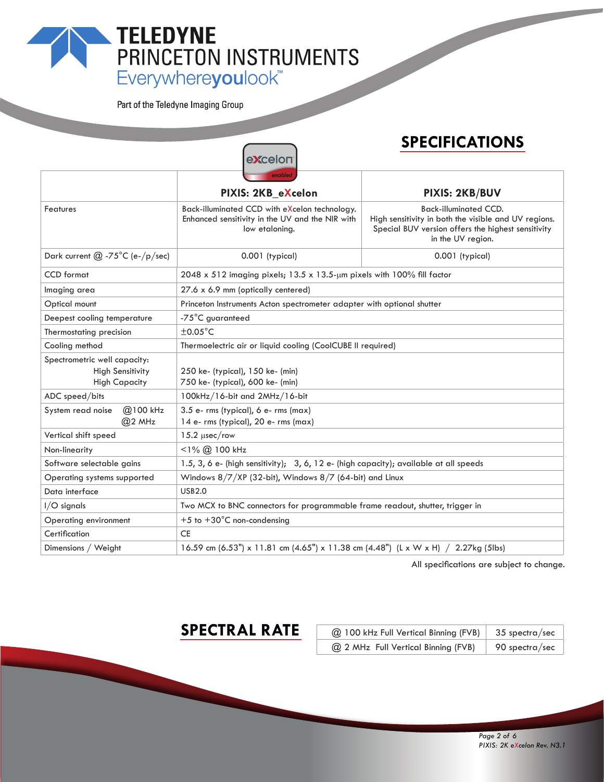### **TELEDYNE** PRINCETON INSTRUMENTS Everywhereyoulook<sup>"</sup>

Part of the Teledyne Imaging Group

### **SPECIFICATIONS** e**x**celor **PIXIS: 2KB\_eXcelon PIXIS: 2KB/BUV** Features Back-illuminated CCD with eXcelon technology. Back-illuminated CCD. Enhanced sensitivity in the UV and the NIR with High sensitivity in both the visible and UV regions. low etaloning. Special BUV version offers the highest sensitivity in the UV region. Dark current  $@ -75^{\circ}C$  (e-/p/sec) 0.001 (typical) 0.001 (typical) 0.001 (typical) CCD format 2048 x 512 imaging pixels; 13.5 x 13.5-µm pixels with 100% fill factor Imaging area 27.6 x 6.9 mm (optically centered) Optical mount Princeton Instruments Acton spectrometer adapter with optional shutter Deepest cooling temperature |-75°C guaranteed Thermostating precision  $\pm 0.05^{\circ}$ C Cooling method Thermoelectric air or liquid cooling (CoolCUBE II required) Spectrometric well capacity: High Sensitivity 250 ke- (typical), 150 ke- (min) High Capacity 750 ke- (typical), 600 ke- (min) ADC speed/bits 100kHz/16-bit and 2MHz/16-bit System read noise @100 kHz 3.5 e- rms (typical), 6 e- rms (max) @2 MHz 14 e- rms (typical), 20 e- rms (max) Vertical shift speed  $15.2 \mu$ sec/row Non-linearity  $|$  <1% @ 100 kHz Software selectable gains  $\vert$  1.5, 3, 6 e- (high sensitivity); 3, 6, 12 e- (high capacity); available at all speeds Operating systems supported Windows 8/7/XP (32-bit), Windows 8/7 (64-bit) and Linux Data interface USB2.0 I/O signals Two MCX to BNC connectors for programmable frame readout, shutter, trigger in Operating environment  $+5$  to  $+30^{\circ}$ C non-condensing Certification CE Dimensions / Weight 16.59 cm (6.53") x 11.81 cm (4.65") x 11.38 cm (4.48") (L x W x H) / 2.27kg (5lbs)

All specifications are subject to change.

### **SPECTRAL RATE**

| @ 100 kHz Full Vertical Binning (FVB) | $35$ spectra/sec |
|---------------------------------------|------------------|
| @ 2 MHz Full Vertical Binning (FVB)   | 90 spectra/sec   |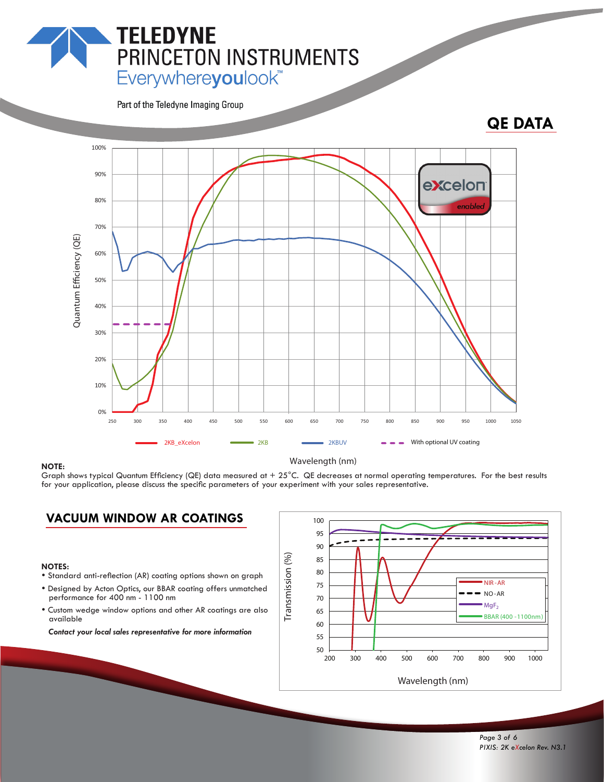Everywhereyoulook<sup>"</sup>

PRINCETON INSTRUMENTS

Part of the Teledyne Imaging Group

**TELEDYNE** 



### Graph shows typical Quantum Efficiency (QE) data measured at  $+25^{\circ}$ C. QE decreases at normal operating temperatures. For the best results for your application, please discuss the specific parameters of your experiment with your sales representative.

### **VACUUM WINDOW AR COATINGS**

- **NOTES:**<br>• Standard anti-reflection (AR) coating options shown on graph
- Designed by Acton Optics, our BBAR coating offers unmatched performance for 400 nm - 1100 nm
- Custom wedge window options and other AR coatings are also available

*Contact your local sales representative for more information*

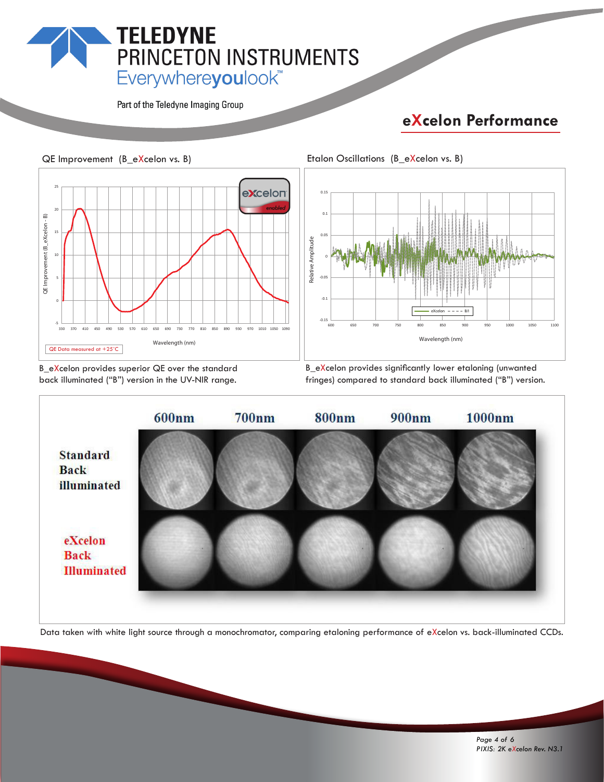# **TELEDYNE PRINCETON INSTRUMENTS**<br>Everywhereyoulook"

Part of the Teledyne Imaging Group

### **eXcelon Performance**





B\_eXcelon provides superior QE over the standard back illuminated ("B") version in the UV-NIR range.

B\_eXcelon provides significantly lower etaloning (unwanted fringes) compared to standard back illuminated ("B") version.



Data taken with white light source through a monochromator, comparing etaloning performance of eXcelon vs. back-illuminated CCDs.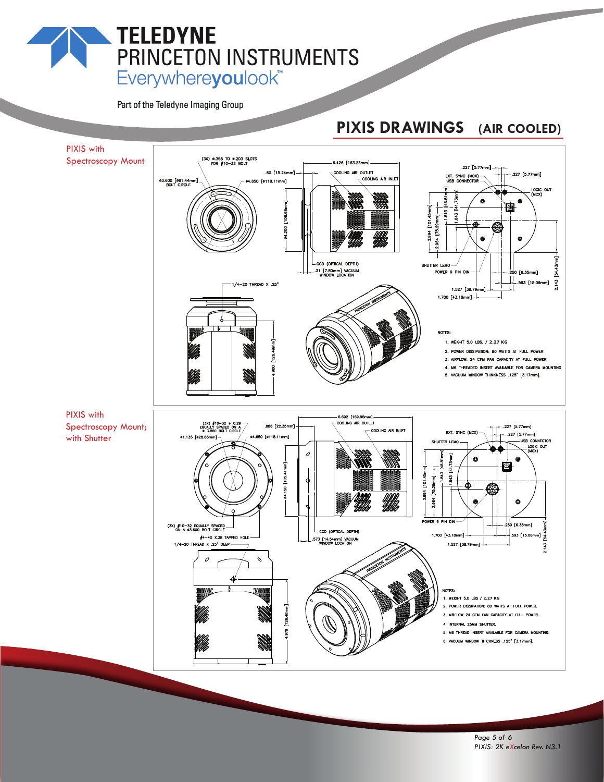## **TELEDYNE** PRINCETON INSTRUMENTS Everywhereyoulook<sup>"</sup>

Part of the Teledyne Imaging Group

### **PIXIS DRAWINGS (AIR COOLED)**